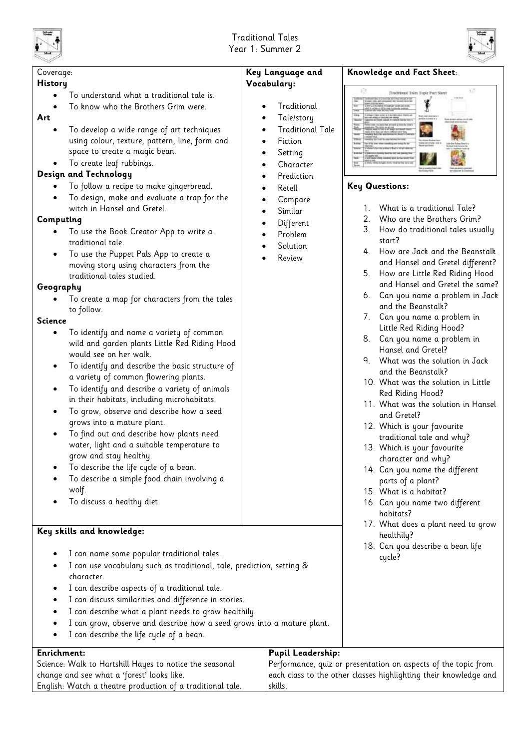



| Coverage:                                                                                                                                                                                                                                                                                                                                                                                                                                                                                                                                                                                                                                                                                                                                                                                                                                                                                                                                                                                                                                                                                                                                                                                                                                                                                                                                                                                                                         | Key Language and                                                                                                                                                                                   | Knowledge and Fact Sheet:                                                                                                                                                                                                                                                                                                                                                                                                                                                                                                                                                                                                                                                                                                                                                                                                                                                                                                                         |  |  |
|-----------------------------------------------------------------------------------------------------------------------------------------------------------------------------------------------------------------------------------------------------------------------------------------------------------------------------------------------------------------------------------------------------------------------------------------------------------------------------------------------------------------------------------------------------------------------------------------------------------------------------------------------------------------------------------------------------------------------------------------------------------------------------------------------------------------------------------------------------------------------------------------------------------------------------------------------------------------------------------------------------------------------------------------------------------------------------------------------------------------------------------------------------------------------------------------------------------------------------------------------------------------------------------------------------------------------------------------------------------------------------------------------------------------------------------|----------------------------------------------------------------------------------------------------------------------------------------------------------------------------------------------------|---------------------------------------------------------------------------------------------------------------------------------------------------------------------------------------------------------------------------------------------------------------------------------------------------------------------------------------------------------------------------------------------------------------------------------------------------------------------------------------------------------------------------------------------------------------------------------------------------------------------------------------------------------------------------------------------------------------------------------------------------------------------------------------------------------------------------------------------------------------------------------------------------------------------------------------------------|--|--|
| <b>History</b><br>To understand what a traditional tale is.<br>To know who the Brothers Grim were.<br>Art<br>To develop a wide range of art techniques<br>using colour, texture, pattern, line, form and<br>space to create a magic bean.<br>To create leaf rubbings.<br>Design and Technology<br>To follow a recipe to make gingerbread.<br>To design, make and evaluate a trap for the<br>witch in Hansel and Gretel.<br>Computing<br>To use the Book Creator App to write a<br>traditional tale.<br>To use the Puppet Pals App to create a<br>٠<br>moving story using characters from the<br>traditional tales studied.<br>Geography<br>To create a map for characters from the tales<br>to follow.<br><b>Science</b><br>To identify and name a variety of common<br>$\bullet$<br>wild and garden plants Little Red Riding Hood<br>would see on her walk.<br>To identify and describe the basic structure of<br>٠<br>a variety of common flowering plants.<br>To identify and describe a variety of animals<br>$\bullet$<br>in their habitats, including microhabitats.<br>To grow, observe and describe how a seed<br>$\bullet$<br>grows into a mature plant.<br>To find out and describe how plants need<br>$\bullet$<br>water, light and a suitable temperature to<br>grow and stay healthy.<br>To describe the life cycle of a bean.<br>To describe a simple food chain involving a<br>wolf.<br>To discuss a healthy diet. | Vocabulary:<br>Traditional<br>Tale/story<br><b>Traditional Tale</b><br>Fiction<br>Setting<br>Character<br>Prediction<br>Retell<br>Compare<br>Similar<br>Different<br>Problem<br>Solution<br>Review | 357<br>Traditional Tales Topic Part Sheet<br><b>Key Questions:</b><br>What is a traditional Tale?<br>1.<br>Who are the Brothers Grim?<br>2.<br>3.<br>How do traditional tales usually<br>start?<br>How are Jack and the Beanstalk<br>4.<br>and Hansel and Gretel different?<br>How are Little Red Riding Hood<br>5.<br>and Hansel and Gretel the same?<br>6. Can you name a problem in Jack<br>and the Beanstalk?<br>7. Can you name a problem in<br>Little Red Riding Hood?<br>8. Can you name a problem in<br>Hansel and Gretel?<br>9. What was the solution in Jack<br>and the Beanstalk?<br>10. What was the solution in Little<br>Red Riding Hood?<br>11. What was the solution in Hansel<br>and Gretel?<br>12. Which is your favourite<br>traditional tale and why?<br>13. Which is your favourite<br>character and why?<br>14. Can you name the different<br>parts of a plant?<br>15. What is a habitat?<br>16. Can you name two different |  |  |
| Key skills and knowledge:                                                                                                                                                                                                                                                                                                                                                                                                                                                                                                                                                                                                                                                                                                                                                                                                                                                                                                                                                                                                                                                                                                                                                                                                                                                                                                                                                                                                         |                                                                                                                                                                                                    | habitats?<br>17. What does a plant need to grow<br>healthily?                                                                                                                                                                                                                                                                                                                                                                                                                                                                                                                                                                                                                                                                                                                                                                                                                                                                                     |  |  |
| I can name some popular traditional tales.<br>I can use vocabulary such as traditional, tale, prediction, setting &<br>character.<br>I can describe aspects of a traditional tale.<br>$\bullet$<br>I can discuss similarities and difference in stories.<br>$\bullet$<br>I can describe what a plant needs to grow healthily.<br>٠<br>I can grow, observe and describe how a seed grows into a mature plant.<br>٠<br>I can describe the life cycle of a bean.                                                                                                                                                                                                                                                                                                                                                                                                                                                                                                                                                                                                                                                                                                                                                                                                                                                                                                                                                                     |                                                                                                                                                                                                    | 18. Can you describe a bean life<br>cycle?                                                                                                                                                                                                                                                                                                                                                                                                                                                                                                                                                                                                                                                                                                                                                                                                                                                                                                        |  |  |
| <b>Pupil Leadership:</b><br><b>Enrichment:</b>                                                                                                                                                                                                                                                                                                                                                                                                                                                                                                                                                                                                                                                                                                                                                                                                                                                                                                                                                                                                                                                                                                                                                                                                                                                                                                                                                                                    |                                                                                                                                                                                                    |                                                                                                                                                                                                                                                                                                                                                                                                                                                                                                                                                                                                                                                                                                                                                                                                                                                                                                                                                   |  |  |
| Science: Walk to Hartshill Hayes to notice the seasonal                                                                                                                                                                                                                                                                                                                                                                                                                                                                                                                                                                                                                                                                                                                                                                                                                                                                                                                                                                                                                                                                                                                                                                                                                                                                                                                                                                           |                                                                                                                                                                                                    | Performance, quiz or presentation on aspects of the topic from                                                                                                                                                                                                                                                                                                                                                                                                                                                                                                                                                                                                                                                                                                                                                                                                                                                                                    |  |  |
| change and see what a 'forest' looks like.                                                                                                                                                                                                                                                                                                                                                                                                                                                                                                                                                                                                                                                                                                                                                                                                                                                                                                                                                                                                                                                                                                                                                                                                                                                                                                                                                                                        |                                                                                                                                                                                                    | each class to the other classes highlighting their knowledge and                                                                                                                                                                                                                                                                                                                                                                                                                                                                                                                                                                                                                                                                                                                                                                                                                                                                                  |  |  |
| English: Watch a theatre production of a traditional tale.<br>skills.                                                                                                                                                                                                                                                                                                                                                                                                                                                                                                                                                                                                                                                                                                                                                                                                                                                                                                                                                                                                                                                                                                                                                                                                                                                                                                                                                             |                                                                                                                                                                                                    |                                                                                                                                                                                                                                                                                                                                                                                                                                                                                                                                                                                                                                                                                                                                                                                                                                                                                                                                                   |  |  |